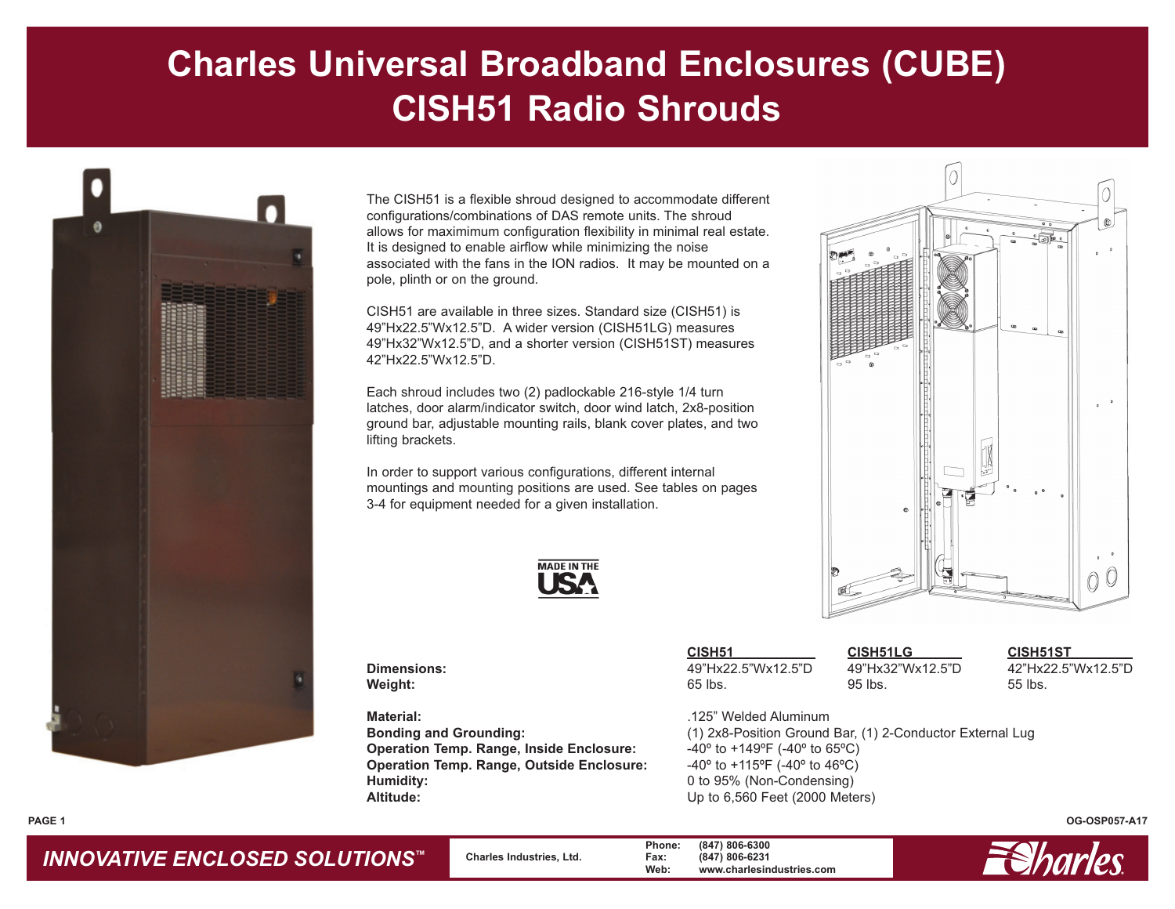# **Charles Universal Broadband Enclosures (CUBE) CISH51 Radio Shrouds**



The CISH51 is a flexible shroud designed to accommodate different configurations/combinations of DAS remote units. The shroud allows for maximimum configuration flexibility in minimal real estate. It is designed to enable airflow while minimizing the noise associated with the fans in the ION radios. It may be mounted on a pole, plinth or on the ground.

CISH51 are available in three sizes. Standard size (CISH51) is 49"Hx22.5"Wx12.5"D. A wider version (CISH51LG) measures 49"Hx32"Wx12.5"D, and a shorter version (CISH51ST) measures 42"Hx22.5"Wx12.5"D.

Each shroud includes two (2) padlockable 216-style 1/4 turn latches, door alarm/indicator switch, door wind latch, 2x8-position ground bar, adjustable mounting rails, blank cover plates, and two lifting brackets.

In order to support various configurations, different internal mountings and mounting positions are used. See tables on pages 3-4 for equipment needed for a given installation.



**Material:** .125" Welded Aluminum **Operation Temp. Range, Inside Enclosure:**  $-40^{\circ}$  to  $+149^{\circ}$  (-40° to 65°C) **Operation Temp. Range, Outside Enclosure:** -40º to +115ºF (-40º to 46ºC) **Humidity:** 0 to 95% (Non-Condensing) Altitude: Up to 6,560 Feet (2000 Meters)

|             | <b>CISH51</b>      | <b>CISH51LG</b>  | <b>CISH51ST</b>    |
|-------------|--------------------|------------------|--------------------|
| Dimensions: | 49"Hx22.5"Wx12.5"D | 49"Hx32"Wx12.5"D | 42"Hx22.5"Wx12.5"D |
| Weight:     | 65 lbs.            | 95 lbs.          | 55 lbs.            |

**Bonding and Grounding:** (1) 2x8-Position Ground Bar, (1) 2-Conductor External Lug

**OG-OSP057-A17**

### *INNOVATIVE ENCLOSED SOLUTIONS ™*

**PAGE 1**

 **Charles Industries, Ltd. Phone: (847) 806-6300 Fax: (847) 806-6231 Web: www.charlesindustries.com**

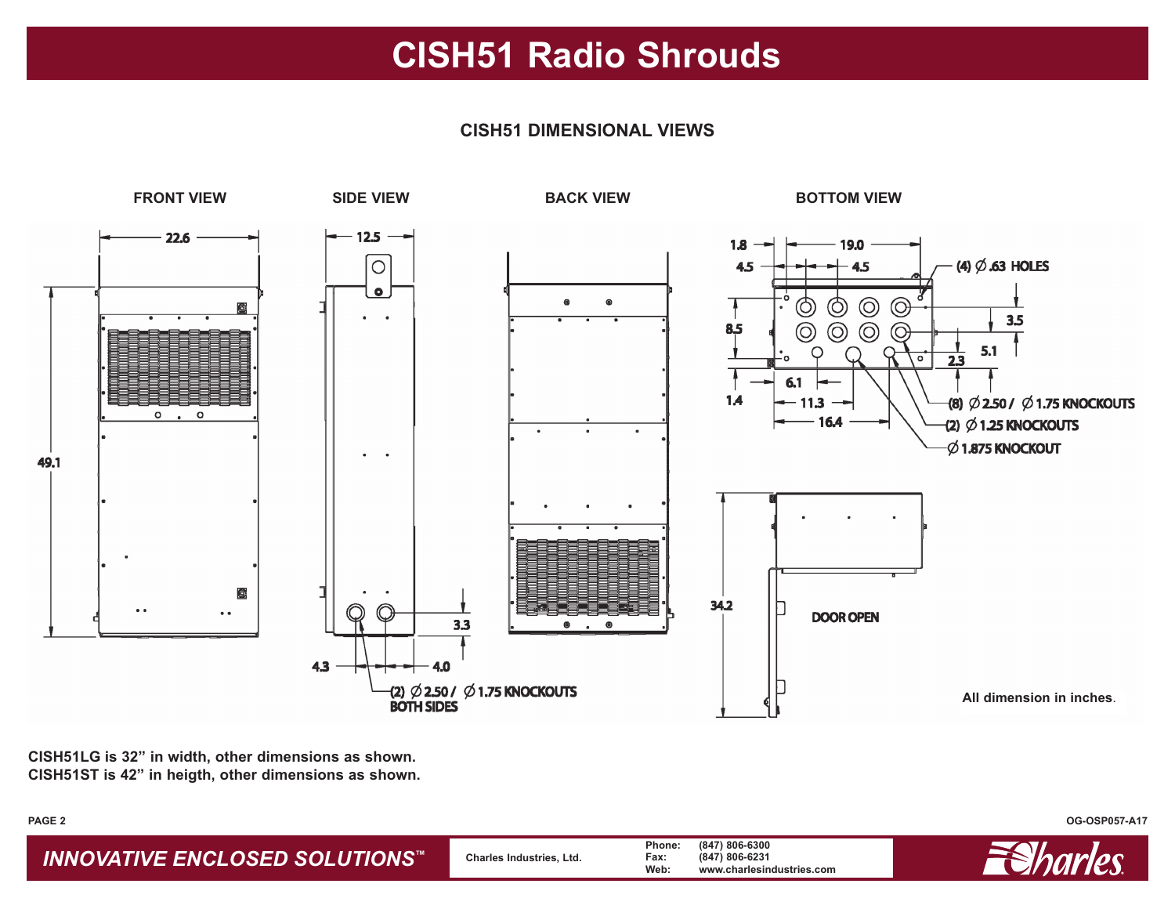### **CISH51 Radio Shrouds**

### **CISH51 DIMENSIONAL VIEWS**



**CISH51LG is 32" in width, other dimensions as shown. CISH51ST is 42" in heigth, other dimensions as shown.**

#### **PAGE 2**

*INNOVATIVE ENCLOSED SOLUTIONS™* **Charles Industries, Ltd. Phone: (847) 806-6300 Fax: (847) 806-6231 Web: www.charlesindustries.com**



**OG-OSP057-A17**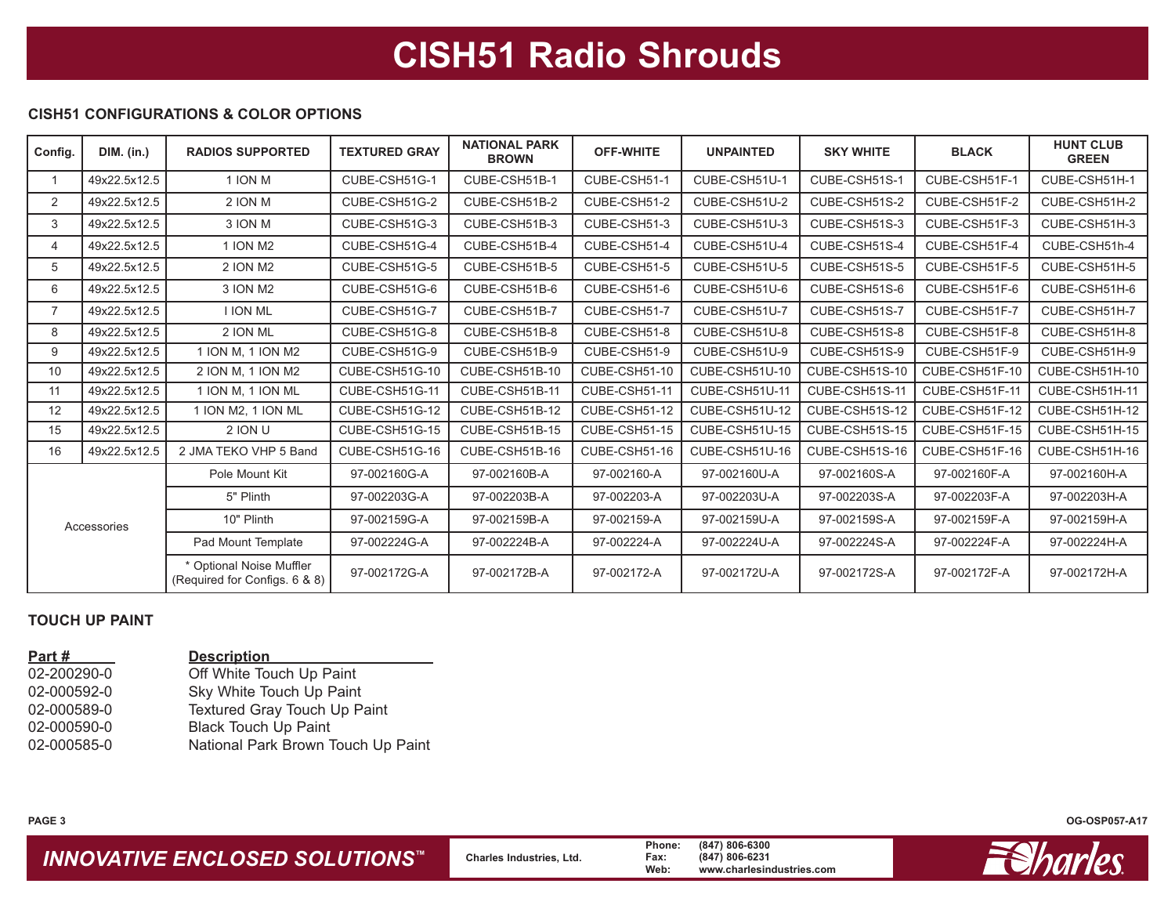## **CISH51 Radio Shrouds**

#### **CISH51 CONFIGURATIONS & COLOR OPTIONS**

| Config.     | <b>DIM.</b> (in.) | <b>RADIOS SUPPORTED</b>                                   | <b>TEXTURED GRAY</b> | <b>NATIONAL PARK</b><br><b>BROWN</b> | <b>OFF-WHITE</b> | <b>UNPAINTED</b> | <b>SKY WHITE</b> | <b>BLACK</b>   | <b>HUNT CLUB</b><br><b>GREEN</b> |
|-------------|-------------------|-----------------------------------------------------------|----------------------|--------------------------------------|------------------|------------------|------------------|----------------|----------------------------------|
|             | 49x22.5x12.5      | 1 ION M                                                   | CUBE-CSH51G-1        | CUBE-CSH51B-1                        | CUBE-CSH51-1     | CUBE-CSH51U-1    | CUBE-CSH51S-1    | CUBE-CSH51F-1  | CUBE-CSH51H-1                    |
| 2           | 49x22.5x12.5      | 2 ION M                                                   | CUBE-CSH51G-2        | CUBE-CSH51B-2                        | CUBE-CSH51-2     | CUBE-CSH51U-2    | CUBE-CSH51S-2    | CUBE-CSH51F-2  | CUBE-CSH51H-2                    |
| 3           | 49x22.5x12.5      | 3 ION M                                                   | CUBE-CSH51G-3        | CUBE-CSH51B-3                        | CUBE-CSH51-3     | CUBE-CSH51U-3    | CUBE-CSH51S-3    | CUBE-CSH51F-3  | CUBE-CSH51H-3                    |
| 4           | 49x22.5x12.5      | 1 ION M2                                                  | CUBE-CSH51G-4        | CUBE-CSH51B-4                        | CUBE-CSH51-4     | CUBE-CSH51U-4    | CUBE-CSH51S-4    | CUBE-CSH51F-4  | CUBE-CSH51h-4                    |
| 5           | 49x22.5x12.5      | 2 ION M2                                                  | CUBE-CSH51G-5        | CUBE-CSH51B-5                        | CUBE-CSH51-5     | CUBE-CSH51U-5    | CUBE-CSH51S-5    | CUBE-CSH51F-5  | CUBE-CSH51H-5                    |
| 6           | 49x22.5x12.5      | 3 ION M2                                                  | CUBE-CSH51G-6        | CUBE-CSH51B-6                        | CUBE-CSH51-6     | CUBE-CSH51U-6    | CUBE-CSH51S-6    | CUBE-CSH51F-6  | CUBE-CSH51H-6                    |
|             | 49x22.5x12.5      | <b>I ION ML</b>                                           | CUBE-CSH51G-7        | CUBE-CSH51B-7                        | CUBE-CSH51-7     | CUBE-CSH51U-7    | CUBE-CSH51S-7    | CUBE-CSH51F-7  | CUBE-CSH51H-7                    |
| 8           | 49x22.5x12.5      | 2 ION ML                                                  | CUBE-CSH51G-8        | CUBE-CSH51B-8                        | CUBE-CSH51-8     | CUBE-CSH51U-8    | CUBE-CSH51S-8    | CUBE-CSH51F-8  | CUBE-CSH51H-8                    |
| 9           | 49x22.5x12.5      | 1 ION M, 1 ION M2                                         | CUBE-CSH51G-9        | CUBE-CSH51B-9                        | CUBE-CSH51-9     | CUBE-CSH51U-9    | CUBE-CSH51S-9    | CUBE-CSH51F-9  | CUBE-CSH51H-9                    |
| 10          | 49x22.5x12.5      | 2 ION M. 1 ION M2                                         | CUBE-CSH51G-10       | CUBE-CSH51B-10                       | CUBE-CSH51-10    | CUBE-CSH51U-10   | CUBE-CSH51S-10   | CUBE-CSH51F-10 | CUBE-CSH51H-10                   |
| 11          | 49x22.5x12.5      | 1 ION M, 1 ION ML                                         | CUBE-CSH51G-11       | CUBE-CSH51B-11                       | CUBE-CSH51-11    | CUBE-CSH51U-11   | CUBE-CSH51S-11   | CUBE-CSH51F-11 | CUBE-CSH51H-11                   |
| 12          | 49x22.5x12.5      | 1 ION M2, 1 ION ML                                        | CUBE-CSH51G-12       | CUBE-CSH51B-12                       | CUBE-CSH51-12    | CUBE-CSH51U-12   | CUBE-CSH51S-12   | CUBE-CSH51F-12 | CUBE-CSH51H-12                   |
| 15          | 49x22.5x12.5      | <b>2 ION U</b>                                            | CUBE-CSH51G-15       | CUBE-CSH51B-15                       | CUBE-CSH51-15    | CUBE-CSH51U-15   | CUBE-CSH51S-15   | CUBE-CSH51F-15 | CUBE-CSH51H-15                   |
| 16          | 49x22.5x12.5      | 2 JMA TEKO VHP 5 Band                                     | CUBE-CSH51G-16       | CUBE-CSH51B-16                       | CUBE-CSH51-16    | CUBE-CSH51U-16   | CUBE-CSH51S-16   | CUBE-CSH51F-16 | CUBE-CSH51H-16                   |
| Accessories |                   | Pole Mount Kit                                            | 97-002160G-A         | 97-002160B-A                         | 97-002160-A      | 97-002160U-A     | 97-002160S-A     | 97-002160F-A   | 97-002160H-A                     |
|             |                   | 5" Plinth                                                 | 97-002203G-A         | 97-002203B-A                         | 97-002203-A      | 97-002203U-A     | 97-002203S-A     | 97-002203F-A   | 97-002203H-A                     |
|             |                   | 10" Plinth                                                | 97-002159G-A         | 97-002159B-A                         | 97-002159-A      | 97-002159U-A     | 97-002159S-A     | 97-002159F-A   | 97-002159H-A                     |
|             |                   | Pad Mount Template                                        | 97-002224G-A         | 97-002224B-A                         | 97-002224-A      | 97-002224U-A     | 97-002224S-A     | 97-002224F-A   | 97-002224H-A                     |
|             |                   | * Optional Noise Muffler<br>(Required for Configs. 6 & 8) | 97-002172G-A         | 97-002172B-A                         | 97-002172-A      | 97-002172U-A     | 97-002172S-A     | 97-002172F-A   | 97-002172H-A                     |

#### **TOUCH UP PAINT**

| Part#       | <b>Description</b>                 |
|-------------|------------------------------------|
| 02-200290-0 | Off White Touch Up Paint           |
| 02-000592-0 | Sky White Touch Up Paint           |
| 02-000589-0 | Textured Gray Touch Up Paint       |
| 02-000590-0 | <b>Black Touch Up Paint</b>        |
| 02-000585-0 | National Park Brown Touch Up Paint |
|             |                                    |

**OG-OSP057-A17**